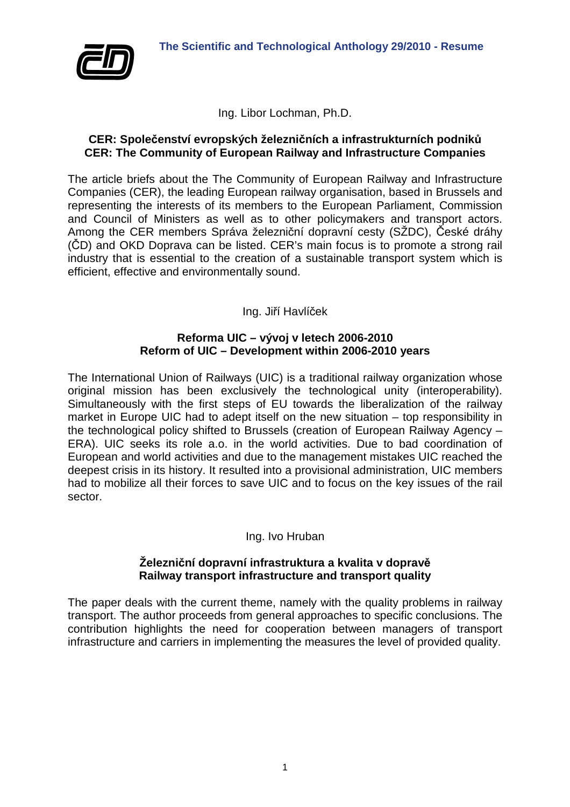



Ing. Libor Lochman, Ph.D.

# **CER: Společenství evropských železničních a infrastrukturních podniků CER: The Community of European Railway and Infrastructure Companies**

The article briefs about the The Community of European Railway and Infrastructure Companies (CER), the leading European railway organisation, based in Brussels and representing the interests of its members to the European Parliament, Commission and Council of Ministers as well as to other policymakers and transport actors. Among the CER members Správa železniční dopravní cesty (SŽDC), České dráhy (ČD) and OKD Doprava can be listed. CER's main focus is to promote a strong rail industry that is essential to the creation of a sustainable transport system which is efficient, effective and environmentally sound.

Ing. Jiří Havlíček

# **Reforma UIC – vývoj v letech 2006-2010 Reform of UIC – Development within 2006-2010 years**

The International Union of Railways (UIC) is a traditional railway organization whose original mission has been exclusively the technological unity (interoperability). Simultaneously with the first steps of EU towards the liberalization of the railway market in Europe UIC had to adept itself on the new situation – top responsibility in the technological policy shifted to Brussels (creation of European Railway Agency – ERA). UIC seeks its role a.o. in the world activities. Due to bad coordination of European and world activities and due to the management mistakes UIC reached the deepest crisis in its history. It resulted into a provisional administration, UIC members had to mobilize all their forces to save UIC and to focus on the key issues of the rail sector.

Ing. Ivo Hruban

# **Železniční dopravní infrastruktura a kvalita v dopravě Railway transport infrastructure and transport quality**

The paper deals with the current theme, namely with the quality problems in railway transport. The author proceeds from general approaches to specific conclusions. The contribution highlights the need for cooperation between managers of transport infrastructure and carriers in implementing the measures the level of provided quality.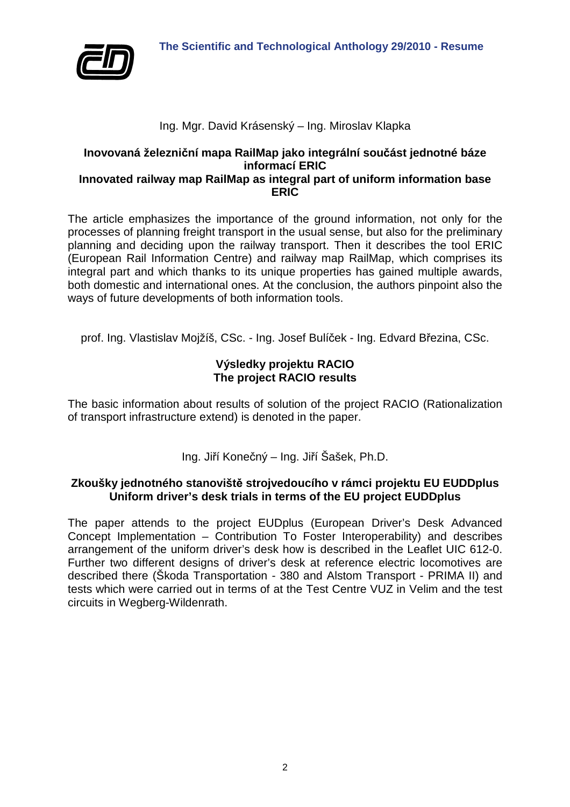

# Ing. Mgr. David Krásenský – Ing. Miroslav Klapka

# **Inovovaná železniční mapa RailMap jako integrální součást jednotné báze informací ERIC Innovated railway map RailMap as integral part of uniform information base**

**ERIC** 

The article emphasizes the importance of the ground information, not only for the processes of planning freight transport in the usual sense, but also for the preliminary planning and deciding upon the railway transport. Then it describes the tool ERIC (European Rail Information Centre) and railway map RailMap, which comprises its integral part and which thanks to its unique properties has gained multiple awards, both domestic and international ones. At the conclusion, the authors pinpoint also the ways of future developments of both information tools.

prof. Ing. Vlastislav Mojžíš, CSc. - Ing. Josef Bulíček - Ing. Edvard Březina, CSc.

# **Výsledky projektu RACIO The project RACIO results**

The basic information about results of solution of the project RACIO (Rationalization of transport infrastructure extend) is denoted in the paper.

Ing. Jiří Konečný – Ing. Jiří Šašek, Ph.D.

# **Zkoušky jednotného stanoviště strojvedoucího v rámci projektu EU EUDDplus Uniform driver's desk trials in terms of the EU project EUDDplus**

The paper attends to the project EUDplus (European Driver's Desk Advanced Concept Implementation – Contribution To Foster Interoperability) and describes arrangement of the uniform driver's desk how is described in the Leaflet UIC 612-0. Further two different designs of driver's desk at reference electric locomotives are described there (Škoda Transportation - 380 and Alstom Transport - PRIMA II) and tests which were carried out in terms of at the Test Centre VUZ in Velim and the test circuits in Wegberg-Wildenrath.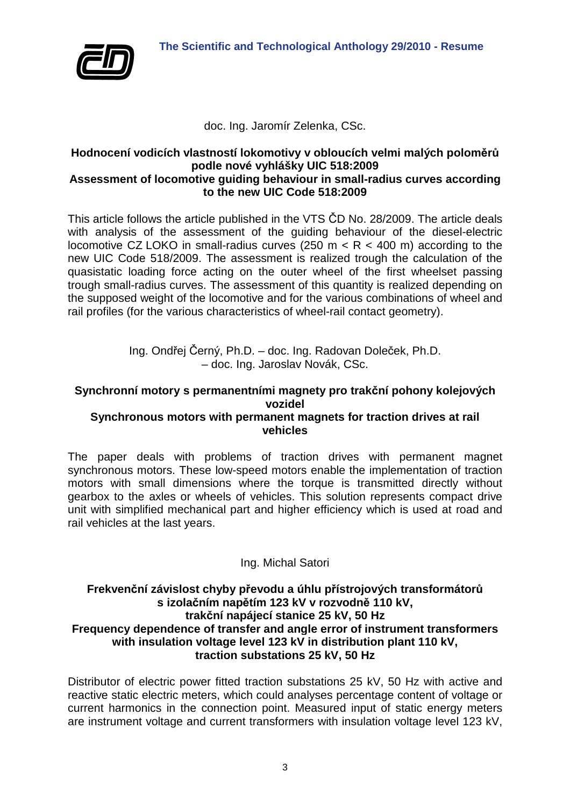

doc. Ing. Jaromír Zelenka, CSc.

#### **Hodnocení vodicích vlastností lokomotivy v obloucích velmi malých poloměrů podle nové vyhlášky UIC 518:2009 Assessment of locomotive guiding behaviour in small-radius curves according to the new UIC Code 518:2009**

This article follows the article published in the VTS ČD No. 28/2009. The article deals with analysis of the assessment of the guiding behaviour of the diesel-electric locomotive CZ LOKO in small-radius curves (250 m  $\lt R$   $\lt$  400 m) according to the new UIC Code 518/2009. The assessment is realized trough the calculation of the quasistatic loading force acting on the outer wheel of the first wheelset passing trough small-radius curves. The assessment of this quantity is realized depending on the supposed weight of the locomotive and for the various combinations of wheel and rail profiles (for the various characteristics of wheel-rail contact geometry).

> Ing. Ondřej Černý, Ph.D. – doc. Ing. Radovan Doleček, Ph.D. – doc. Ing. Jaroslav Novák, CSc.

# **Synchronní motory s permanentními magnety pro trakční pohony kolejových vozidel**

# **Synchronous motors with permanent magnets for traction drives at rail vehicles**

The paper deals with problems of traction drives with permanent magnet synchronous motors. These low-speed motors enable the implementation of traction motors with small dimensions where the torque is transmitted directly without gearbox to the axles or wheels of vehicles. This solution represents compact drive unit with simplified mechanical part and higher efficiency which is used at road and rail vehicles at the last years.

# Ing. Michal Satori

# **Frekvenční závislost chyby převodu a úhlu přístrojových transformátorů s izolačním napětím 123 kV v rozvodně 110 kV, trakční napájecí stanice 25 kV, 50 Hz Frequency dependence of transfer and angle error of instrument transformers with insulation voltage level 123 kV in distribution plant 110 kV, traction substations 25 kV, 50 Hz**

Distributor of electric power fitted traction substations 25 kV, 50 Hz with active and reactive static electric meters, which could analyses percentage content of voltage or current harmonics in the connection point. Measured input of static energy meters are instrument voltage and current transformers with insulation voltage level 123 kV,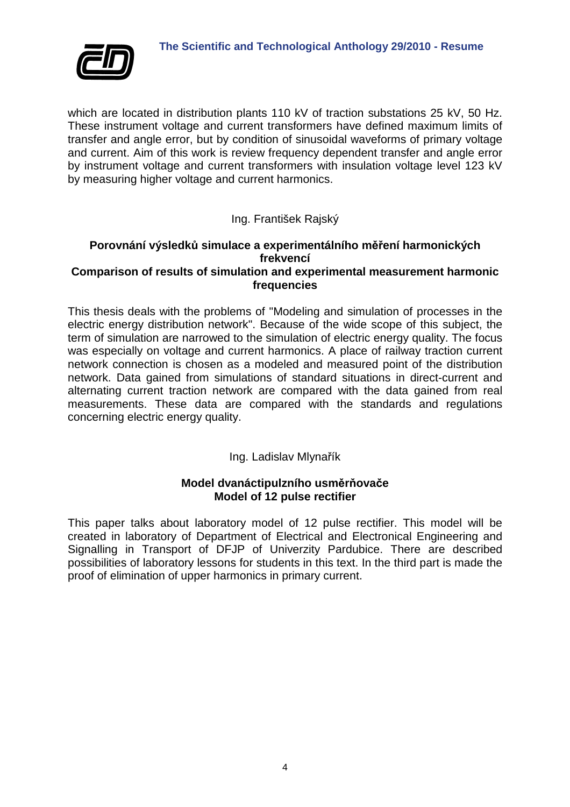

which are located in distribution plants 110 kV of traction substations 25 kV, 50 Hz. These instrument voltage and current transformers have defined maximum limits of transfer and angle error, but by condition of sinusoidal waveforms of primary voltage and current. Aim of this work is review frequency dependent transfer and angle error by instrument voltage and current transformers with insulation voltage level 123 kV by measuring higher voltage and current harmonics.

# Ing. František Rajský

# **Porovnání výsledků simulace a experimentálního měření harmonických frekvencí Comparison of results of simulation and experimental measurement harmonic**

**frequencies** 

This thesis deals with the problems of "Modeling and simulation of processes in the electric energy distribution network". Because of the wide scope of this subject, the term of simulation are narrowed to the simulation of electric energy quality. The focus was especially on voltage and current harmonics. A place of railway traction current network connection is chosen as a modeled and measured point of the distribution network. Data gained from simulations of standard situations in direct-current and alternating current traction network are compared with the data gained from real measurements. These data are compared with the standards and regulations concerning electric energy quality.

# Ing. Ladislav Mlynařík

# **Model dvanáctipulzního usměrňovače Model of 12 pulse rectifier**

This paper talks about laboratory model of 12 pulse rectifier. This model will be created in laboratory of Department of Electrical and Electronical Engineering and Signalling in Transport of DFJP of Univerzity Pardubice. There are described possibilities of laboratory lessons for students in this text. In the third part is made the proof of elimination of upper harmonics in primary current.